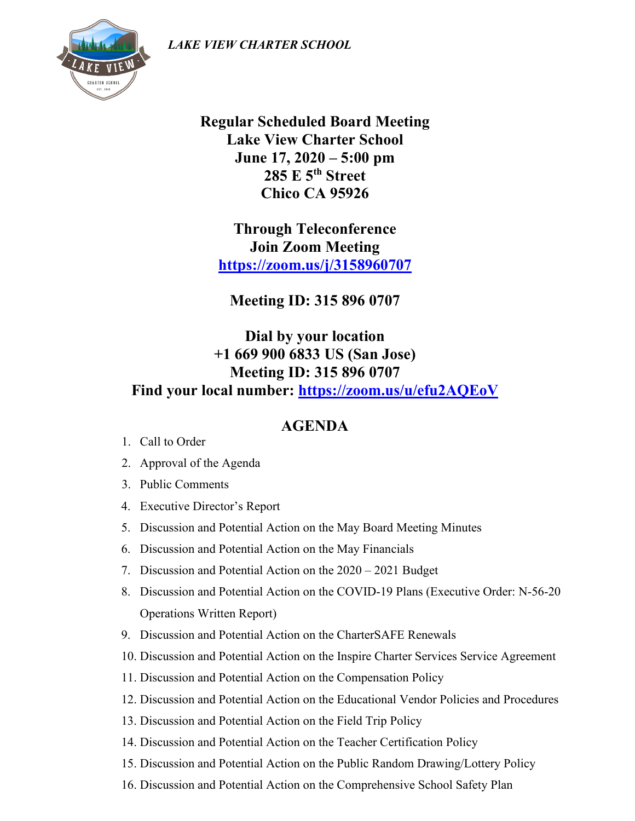*LAKE VIEW CHARTER SCHOOL*



**Regular Scheduled Board Meeting Lake View Charter School June 17, 2020 – 5:00 pm 285 E 5th Street Chico CA 95926**

**Through Teleconference Join Zoom Meeting <https://zoom.us/j/3158960707>**

**Meeting ID: 315 896 0707**

**Dial by your location +1 669 900 6833 US (San Jose) Meeting ID: 315 896 0707 Find your local number: <https://zoom.us/u/efu2AQEoV>**

## **AGENDA**

- 1. Call to Order
- 2. Approval of the Agenda
- 3. Public Comments
- 4. Executive Director's Report
- 5. Discussion and Potential Action on the May Board Meeting Minutes
- 6. Discussion and Potential Action on the May Financials
- 7. Discussion and Potential Action on the 2020 2021 Budget
- 8. Discussion and Potential Action on the COVID-19 Plans (Executive Order: N-56-20 Operations Written Report)
- 9. Discussion and Potential Action on the CharterSAFE Renewals
- 10. Discussion and Potential Action on the Inspire Charter Services Service Agreement
- 11. Discussion and Potential Action on the Compensation Policy
- 12. Discussion and Potential Action on the Educational Vendor Policies and Procedures
- 13. Discussion and Potential Action on the Field Trip Policy
- 14. Discussion and Potential Action on the Teacher Certification Policy
- 15. Discussion and Potential Action on the Public Random Drawing/Lottery Policy
- 16. Discussion and Potential Action on the Comprehensive School Safety Plan